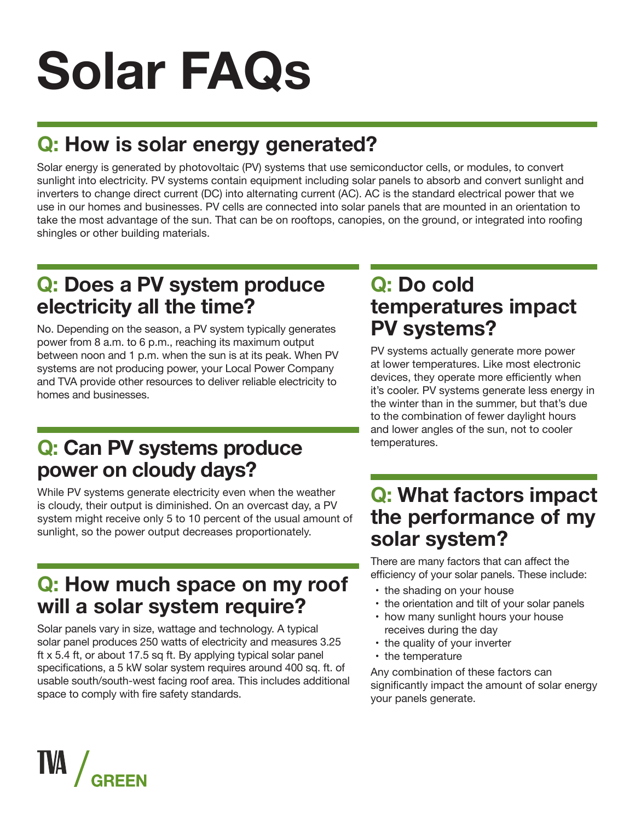## **Q: How is solar energy generated?**

Solar energy is generated by photovoltaic (PV) systems that use semiconductor cells, or modules, to convert sunlight into electricity. PV systems contain equipment including solar panels to absorb and convert sunlight and inverters to change direct current (DC) into alternating current (AC). AC is the standard electrical power that we use in our homes and businesses. PV cells are connected into solar panels that are mounted in an orientation to take the most advantage of the sun. That can be on rooftops, canopies, on the ground, or integrated into roofing shingles or other building materials.

#### **Q: Does a PV system produce electricity all the time?**

No. Depending on the season, a PV system typically generates power from 8 a.m. to 6 p.m., reaching its maximum output between noon and 1 p.m. when the sun is at its peak. When PV systems are not producing power, your Local Power Company and TVA provide other resources to deliver reliable electricity to homes and businesses.

#### **Q: Can PV systems produce power on cloudy days?**

While PV systems generate electricity even when the weather is cloudy, their output is diminished. On an overcast day, a PV system might receive only 5 to 10 percent of the usual amount of sunlight, so the power output decreases proportionately.

#### **Q: How much space on my roof will a solar system require?**

Solar panels vary in size, wattage and technology. A typical solar panel produces 250 watts of electricity and measures 3.25 ft x 5.4 ft, or about 17.5 sq ft. By applying typical solar panel specifications, a 5 kW solar system requires around 400 sq. ft. of usable south/south-west facing roof area. This includes additional space to comply with fire safety standards.

#### **Q: Do cold temperatures impact PV systems?**

PV systems actually generate more power at lower temperatures. Like most electronic devices, they operate more efficiently when it's cooler. PV systems generate less energy in the winter than in the summer, but that's due to the combination of fewer daylight hours and lower angles of the sun, not to cooler temperatures.

#### **Q: What factors impact the performance of my solar system?**

There are many factors that can affect the efficiency of your solar panels. These include:

- the shading on your house
- the orientation and tilt of your solar panels
- how many sunlight hours your house receives during the day
- the quality of your inverter
- the temperature

Any combination of these factors can significantly impact the amount of solar energy your panels generate.

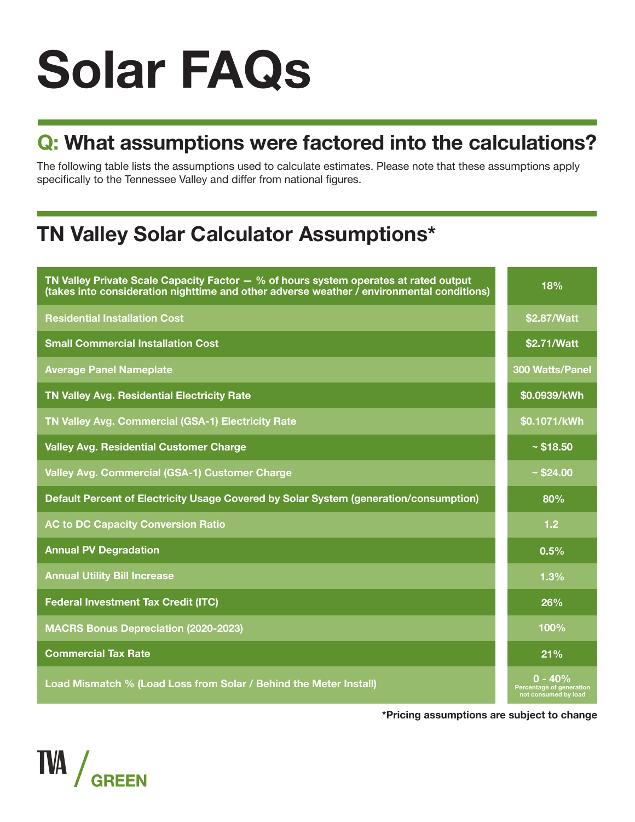# **Q: What assumptions were factored into the calculations?**

The following table lists the assumptions used to calculate estimates. Please note that these assumptions apply specifically to the Tennessee Valley and differ from national figures.

# **TN Valley Solar Calculator Assumptions\***

| TN Valley Private Scale Capacity Factor $-$ % of hours system operates at rated output<br>(takes into consideration nighttime and other adverse weather / environmental conditions) | 18%                                                           |
|-------------------------------------------------------------------------------------------------------------------------------------------------------------------------------------|---------------------------------------------------------------|
| <b>Residential Installation Cost</b>                                                                                                                                                | \$2.87/Watt                                                   |
| <b>Small Commercial Installation Cost</b>                                                                                                                                           | \$2.71/Watt                                                   |
| <b>Average Panel Nameplate</b>                                                                                                                                                      | <b>300 Watts/Panel</b>                                        |
| TN Valley Avg. Residential Electricity Rate                                                                                                                                         | \$0.0939/kWh                                                  |
| TN Valley Avg. Commercial (GSA-1) Electricity Rate                                                                                                                                  | \$0.1071/kWh                                                  |
| <b>Valley Avg. Residential Customer Charge</b>                                                                                                                                      | ~518.50                                                       |
| Valley Avg. Commercial (GSA-1) Customer Charge                                                                                                                                      | ~524.00                                                       |
| Default Percent of Electricity Usage Covered by Solar System (generation/consumption)                                                                                               | 80%                                                           |
| <b>AC to DC Capacity Conversion Ratio</b>                                                                                                                                           | 1.2                                                           |
| <b>Annual PV Degradation</b>                                                                                                                                                        | 0.5%                                                          |
| <b>Annual Utility Bill Increase</b>                                                                                                                                                 | 1.3%                                                          |
| <b>Federal Investment Tax Credit (ITC)</b>                                                                                                                                          | 26%                                                           |
| <b>MACRS Bonus Depreciation (2020-2023)</b>                                                                                                                                         | 100%                                                          |
| <b>Commercial Tax Rate</b>                                                                                                                                                          | 21%                                                           |
| Load Mismatch % (Load Loss from Solar / Behind the Meter Install)                                                                                                                   | $0 - 40%$<br>Percentage of generation<br>not consumed by load |

**\*Pricing assumptions are subject to change**

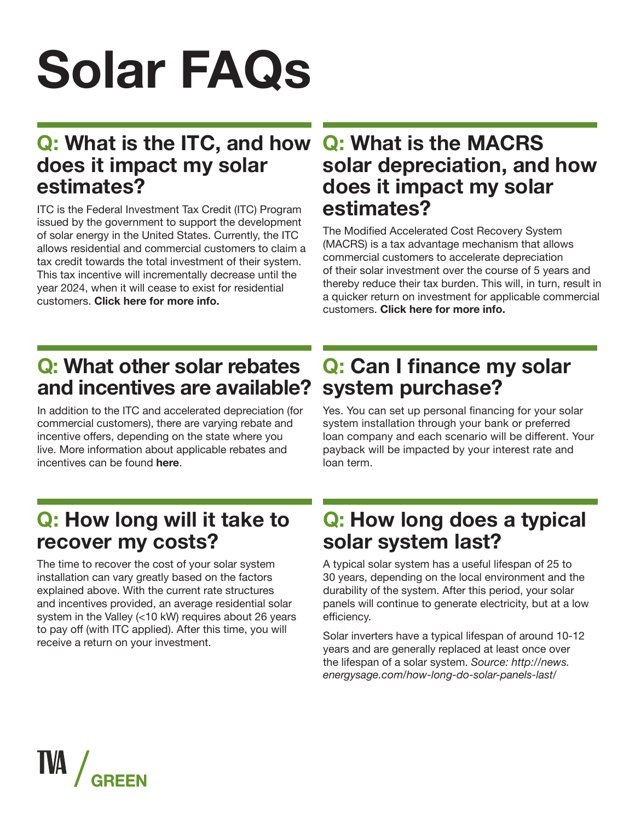### **Q: What is the ITC, and how does it impact my solar estimates?**

ITC is the Federal Investment Tax Credit (ITC) Program issued by the government to support the development of solar energy in the United States. Currently, the ITC allows residential and commercial customers to claim a tax credit towards the total investment of their system. This tax incentive will incrementally decrease until the year 2024, when it will cease to exist for residential customers. **Click here for more info.**

#### **Q: What is the MACRS solar depreciation, and how does it impact my solar estimates?**

The Modified Accelerated Cost Recovery System (MACRS) is a tax advantage mechanism that allows commercial customers to accelerate depreciation of their solar investment over the course of 5 years and thereby reduce their tax burden. This will, in turn, result in a quicker return on investment for applicable commercial customers. **Click here for more info.**

## **Q: What other solar rebates and incentives are available?**

In addition to the ITC and accelerated depreciation (for commercial customers), there are varying rebate and incentive offers, depending on the state where you live. More information about applicable rebates and incentives can be found **here**.

### **Q: Can I finance my solar system purchase?**

Yes. You can set up personal financing for your solar system installation through your bank or preferred loan company and each scenario will be different. Your payback will be impacted by your interest rate and loan term.

## **Q: How long will it take to recover my costs?**

The time to recover the cost of your solar system installation can vary greatly based on the factors explained above. With the current rate structures and incentives provided, an average residential solar system in the Valley (<10 kW) requires about 26 years to pay off (with ITC applied). After this time, you will receive a return on your investment.

### **Q: How long does a typical solar system last?**

A typical solar system has a useful lifespan of 25 to 30 years, depending on the local environment and the durability of the system. After this period, your solar panels will continue to generate electricity, but at a low efficiency.

Solar inverters have a typical lifespan of around 10-12 years and are generally replaced at least once over the lifespan of a solar system. *Source: http://news. energysage.com/how-long-do-solar-panels-last/*

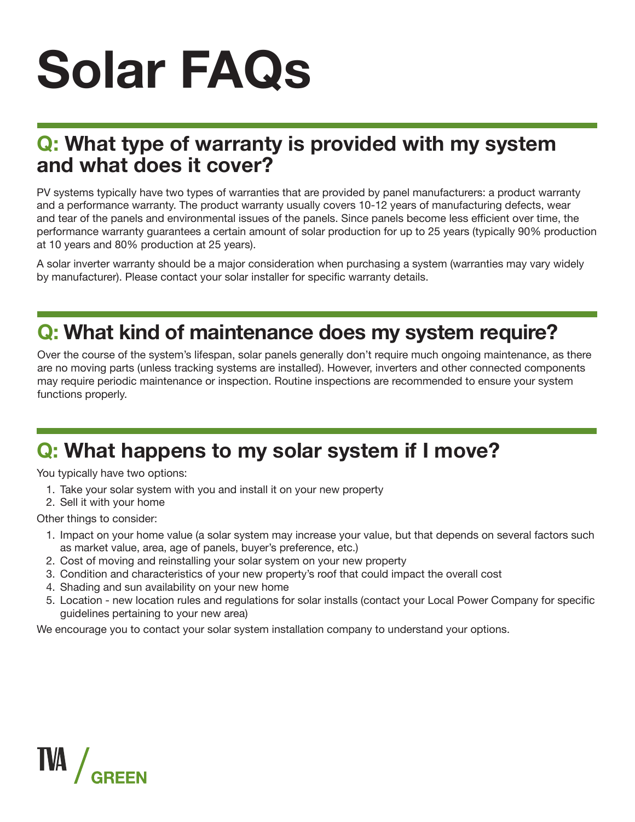### **Q: What type of warranty is provided with my system and what does it cover?**

PV systems typically have two types of warranties that are provided by panel manufacturers: a product warranty and a performance warranty. The product warranty usually covers 10-12 years of manufacturing defects, wear and tear of the panels and environmental issues of the panels. Since panels become less efficient over time, the performance warranty guarantees a certain amount of solar production for up to 25 years (typically 90% production at 10 years and 80% production at 25 years).

A solar inverter warranty should be a major consideration when purchasing a system (warranties may vary widely by manufacturer). Please contact your solar installer for specific warranty details.

## **Q: What kind of maintenance does my system require?**

Over the course of the system's lifespan, solar panels generally don't require much ongoing maintenance, as there are no moving parts (unless tracking systems are installed). However, inverters and other connected components may require periodic maintenance or inspection. Routine inspections are recommended to ensure your system functions properly.

## **Q: What happens to my solar system if I move?**

You typically have two options:

- 1. Take your solar system with you and install it on your new property
- 2. Sell it with your home

Other things to consider:

- 1. Impact on your home value (a solar system may increase your value, but that depends on several factors such as market value, area, age of panels, buyer's preference, etc.)
- 2. Cost of moving and reinstalling your solar system on your new property
- 3. Condition and characteristics of your new property's roof that could impact the overall cost
- 4. Shading and sun availability on your new home
- 5. Location new location rules and regulations for solar installs (contact your Local Power Company for specific guidelines pertaining to your new area)

We encourage you to contact your solar system installation company to understand your options.